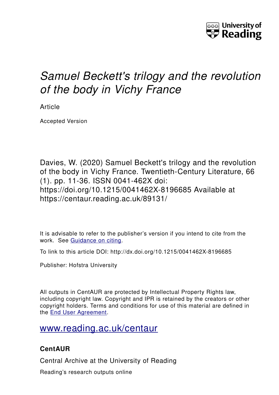

# *Samuel Beckett's trilogy and the revolution of the body in Vichy France*

Article

Accepted Version

Davies, W. (2020) Samuel Beckett's trilogy and the revolution of the body in Vichy France. Twentieth-Century Literature, 66 (1). pp. 11-36. ISSN 0041-462X doi: https://doi.org/10.1215/0041462X-8196685 Available at https://centaur.reading.ac.uk/89131/

It is advisable to refer to the publisher's version if you intend to cite from the work. See [Guidance on citing.](http://centaur.reading.ac.uk/71187/10/CentAUR%20citing%20guide.pdf)

To link to this article DOI: http://dx.doi.org/10.1215/0041462X-8196685

Publisher: Hofstra University

All outputs in CentAUR are protected by Intellectual Property Rights law, including copyright law. Copyright and IPR is retained by the creators or other copyright holders. Terms and conditions for use of this material are defined in the [End User Agreement.](http://centaur.reading.ac.uk/licence)

[www.reading.ac.uk/centaur](http://www.reading.ac.uk/centaur)

## **CentAUR**

Central Archive at the University of Reading

Reading's research outputs online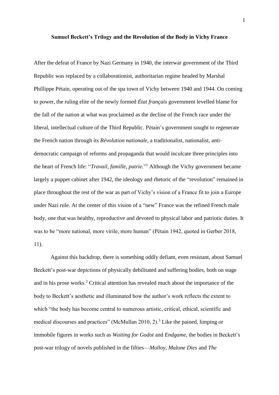#### **Samuel Beckett's Trilogy and the Revolution of the Body in Vichy France**

After the defeat of France by Nazi Germany in 1940, the interwar government of the Third Republic was replaced by a collaborationist, authoritarian regime headed by Marshal Phillippe Pétain, operating out of the spa town of Vichy between 1940 and 1944. On coming to power, the ruling elite of the newly formed *État français* government levelled blame for the fall of the nation at what was proclaimed as the decline of the French race under the liberal, intellectual culture of the Third Republic. Pétain's government sought to regenerate the French nation through its *Révolution nationale*, a traditionalist, nationalist, antidemocratic campaign of reforms and propaganda that would inculcate three principles into the heart of French life: "*Travail, famille, patrie*." <sup>1</sup> Although the Vichy government became largely a puppet cabinet after 1942, the ideology and rhetoric of the "revolution" remained in place throughout the rest of the war as part of Vichy's vision of a France fit to join a Europe under Nazi rule. At the center of this vision of a "new" France was the refined French male body, one that was healthy, reproductive and devoted to physical labor and patriotic duties. It was to be "more national, more virile, more human" (Pétain 1942, quoted in Gerber 2018, 11).

Against this backdrop, there is something oddly defiant, even resistant, about Samuel Beckett's post-war depictions of physically debilitated and suffering bodies, both on stage and in his prose works. <sup>2</sup> Critical attention has revealed much about the importance of the body to Beckett's aesthetic and illuminated how the author's work reflects the extent to which "the body has become central to numerous artistic, critical, ethical, scientific and medical discourses and practices" (McMullan 2010, 2).<sup>3</sup> Like the pained, limping or immobile figures in works such as *Waiting for Godot* and *Endgame*, the bodies in Beckett's post-war trilogy of novels published in the fifties—*Molloy*, *Malone Dies* and *The*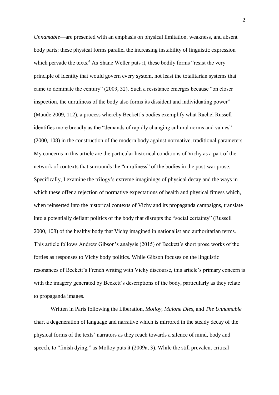*Unnamable*—are presented with an emphasis on physical limitation, weakness, and absent body parts; these physical forms parallel the increasing instability of linguistic expression which pervade the texts.<sup>4</sup> As Shane Weller puts it, these bodily forms "resist the very principle of identity that would govern every system, not least the totalitarian systems that came to dominate the century" (2009, 32). Such a resistance emerges because "on closer inspection, the unruliness of the body also forms its dissident and individuating power" (Maude 2009, 112), a process whereby Beckett's bodies exemplify what Rachel Russell identifies more broadly as the "demands of rapidly changing cultural norms and values" (2000, 108) in the construction of the modern body against normative, traditional parameters. My concerns in this article are the particular historical conditions of Vichy as a part of the network of contexts that surrounds the "unruliness" of the bodies in the post-war prose. Specifically, I examine the trilogy's extreme imaginings of physical decay and the ways in which these offer a rejection of normative expectations of health and physical fitness which, when reinserted into the historical contexts of Vichy and its propaganda campaigns, translate into a potentially defiant politics of the body that disrupts the "social certainty" (Russell 2000, 108) of the healthy body that Vichy imagined in nationalist and authoritarian terms. This article follows Andrew Gibson's analysis (2015) of Beckett's short prose works of the forties as responses to Vichy body politics. While Gibson focuses on the linguistic resonances of Beckett's French writing with Vichy discourse, this article's primary concern is with the imagery generated by Beckett's descriptions of the body, particularly as they relate to propaganda images.

Written in Paris following the Liberation, *Molloy*, *Malone Dies*, and *The Unnamable* chart a degeneration of language and narrative which is mirrored in the steady decay of the physical forms of the texts' narrators as they reach towards a silence of mind, body and speech, to "finish dying," as Molloy puts it (2009a, 3). While the still prevalent critical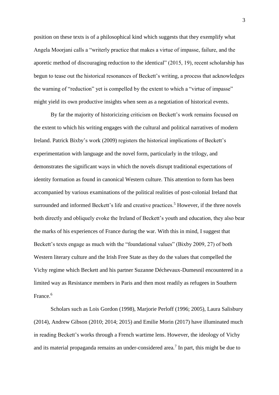position on these texts is of a philosophical kind which suggests that they exemplify what Angela Moorjani calls a "writerly practice that makes a virtue of impasse, failure, and the aporetic method of discouraging reduction to the identical" (2015, 19), recent scholarship has begun to tease out the historical resonances of Beckett's writing, a process that acknowledges the warning of "reduction" yet is compelled by the extent to which a "virtue of impasse" might yield its own productive insights when seen as a negotiation of historical events.

By far the majority of historicizing criticism on Beckett's work remains focused on the extent to which his writing engages with the cultural and political narratives of modern Ireland. Patrick Bixby's work (2009) registers the historical implications of Beckett's experimentation with language and the novel form, particularly in the trilogy, and demonstrates the significant ways in which the novels disrupt traditional expectations of identity formation as found in canonical Western culture. This attention to form has been accompanied by various examinations of the political realities of post-colonial Ireland that surrounded and informed Beckett's life and creative practices.<sup>5</sup> However, if the three novels both directly and obliquely evoke the Ireland of Beckett's youth and education, they also bear the marks of his experiences of France during the war. With this in mind, I suggest that Beckett's texts engage as much with the "foundational values" (Bixby 2009, 27) of both Western literary culture and the Irish Free State as they do the values that compelled the Vichy regime which Beckett and his partner Suzanne Déchevaux-Dumesnil encountered in a limited way as Resistance members in Paris and then most readily as refugees in Southern France.<sup>6</sup>

Scholars such as Lois Gordon (1998), Marjorie Perloff (1996; 2005), Laura Salisbury (2014), Andrew Gibson (2010; 2014; 2015) and Emilie Morin (2017) have illuminated much in reading Beckett's works through a French wartime lens. However, the ideology of Vichy and its material propaganda remains an under-considered area.<sup>7</sup> In part, this might be due to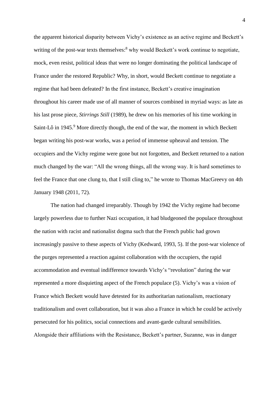the apparent historical disparity between Vichy's existence as an active regime and Beckett's writing of the post-war texts themselves: $8 \text{ why would Beckett's work continue to negotiate,}$ mock, even resist, political ideas that were no longer dominating the political landscape of France under the restored Republic? Why, in short, would Beckett continue to negotiate a regime that had been defeated? In the first instance, Beckett's creative imagination throughout his career made use of all manner of sources combined in myriad ways: as late as his last prose piece, *Stirrings Still* (1989), he drew on his memories of his time working in Saint-Lô in 1945.<sup>9</sup> More directly though, the end of the war, the moment in which Beckett began writing his post-war works, was a period of immense upheaval and tension. The occupiers and the Vichy regime were gone but not forgotten, and Beckett returned to a nation much changed by the war: "All the wrong things, all the wrong way. It is hard sometimes to feel the France that one clung to, that I still cling to," he wrote to Thomas MacGreevy on 4th January 1948 (2011, 72).

The nation had changed irreparably. Though by 1942 the Vichy regime had become largely powerless due to further Nazi occupation, it had bludgeoned the populace throughout the nation with racist and nationalist dogma such that the French public had grown increasingly passive to these aspects of Vichy (Kedward, 1993, 5). If the post-war violence of the purges represented a reaction against collaboration with the occupiers, the rapid accommodation and eventual indifference towards Vichy's "revolution" during the war represented a more disquieting aspect of the French populace (5). Vichy's was a vision of France which Beckett would have detested for its authoritarian nationalism, reactionary traditionalism and overt collaboration, but it was also a France in which he could be actively persecuted for his politics, social connections and avant-garde cultural sensibilities. Alongside their affiliations with the Resistance, Beckett's partner, Suzanne, was in danger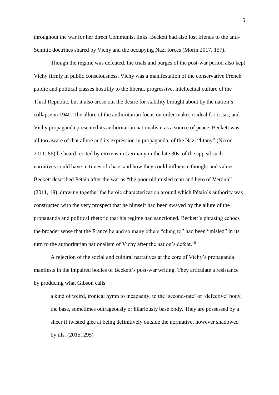throughout the war for her direct Communist links. Beckett had also lost friends to the anti-Semitic doctrines shared by Vichy and the occupying Nazi forces (Morin 2017, 157).

Though the regime was defeated, the trials and purges of the post-war period also kept Vichy firmly in public consciousness. Vichy was a manifestation of the conservative French public and political classes hostility to the liberal, progressive, intellectual culture of the Third Republic, but it also arose out the desire for stability brought about by the nation's collapse in 1940. The allure of the authoritarian focus on order makes it ideal for crisis, and Vichy propaganda presented its authoritarian nationalism as a source of peace. Beckett was all too aware of that allure and its expression in propaganda, of the Nazi "litany" (Nixon 2011, 86) he heard recited by citizens in Germany in the late 30s, of the appeal such narratives could have in times of chaos and how they could influence thought and values. Beckett described Pétain after the war as "the poor old misled man and hero of Verdun" (2011, 19), drawing together the heroic characterization around which Pétain's authority was constructed with the very prospect that he himself had been swayed by the allure of the propaganda and political rhetoric that his regime had sanctioned. Beckett's phrasing echoes the broader sense that the France he and so many others "clung to" had been "misled" in its turn to the authoritarian nationalism of Vichy after the nation's defeat.<sup>10</sup>

A rejection of the social and cultural narratives at the core of Vichy's propaganda manifests in the impaired bodies of Beckett's post-war writing. They articulate a resistance by producing what Gibson calls

a kind of weird, ironical hymn to incapacity, to the 'second-rate' or 'defective' body, the base, sometimes outrageously or hilariously base body. They are possessed by a sheer if twisted glee at being definitively outside the normative, however shadowed by ills. (2015, 295)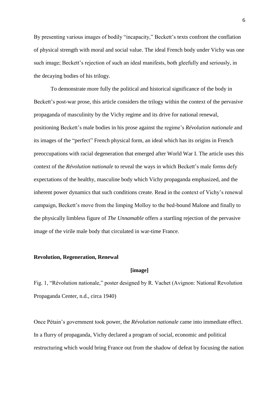By presenting various images of bodily "incapacity," Beckett's texts confront the conflation of physical strength with moral and social value. The ideal French body under Vichy was one such image; Beckett's rejection of such an ideal manifests, both gleefully and seriously, in the decaying bodies of his trilogy.

To demonstrate more fully the political and historical significance of the body in Beckett's post-war prose, this article considers the trilogy within the context of the pervasive propaganda of masculinity by the Vichy regime and its drive for national renewal, positioning Beckett's male bodies in his prose against the regime's *Révolution nationale* and its images of the "perfect" French physical form, an ideal which has its origins in French preoccupations with racial degeneration that emerged after World War I. The article uses this context of the *Révolution nationale* to reveal the ways in which Beckett's male forms defy expectations of the healthy, masculine body which Vichy propaganda emphasized, and the inherent power dynamics that such conditions create. Read in the context of Vichy's renewal campaign, Beckett's move from the limping Molloy to the bed-bound Malone and finally to the physically limbless figure of *The Unnamable* offers a startling rejection of the pervasive image of the virile male body that circulated in war-time France.

#### **Revolution, Regeneration, Renewal**

#### **[image]**

Fig. 1, "Révolution nationale," poster designed by R. Vachet (Avignon: National Revolution Propaganda Center, n.d., circa 1940)

Once Pétain's government took power, the *Révolution nationale* came into immediate effect. In a flurry of propaganda, Vichy declared a program of social, economic and political restructuring which would bring France out from the shadow of defeat by focusing the nation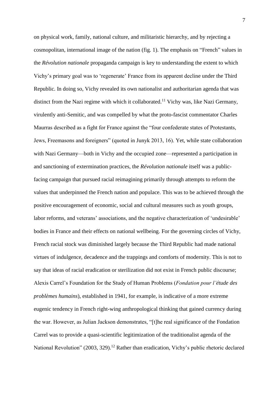on physical work, family, national culture, and militaristic hierarchy, and by rejecting a cosmopolitan, international image of the nation (fig. 1). The emphasis on "French" values in the *Révolution nationale* propaganda campaign is key to understanding the extent to which Vichy's primary goal was to 'regenerate' France from its apparent decline under the Third Republic. In doing so, Vichy revealed its own nationalist and authoritarian agenda that was distinct from the Nazi regime with which it collaborated.<sup>11</sup> Vichy was, like Nazi Germany, virulently anti-Semitic, and was compelled by what the proto-fascist commentator Charles Maurras described as a fight for France against the "four confederate states of Protestants, Jews, Freemasons and foreigners" (quoted in Junyk 2013, 16). Yet, while state collaboration with Nazi Germany—both in Vichy and the occupied zone—represented a participation in and sanctioning of extermination practices, the *Révolution nationale* itself was a publicfacing campaign that pursued racial reimagining primarily through attempts to reform the values that underpinned the French nation and populace. This was to be achieved through the positive encouragement of economic, social and cultural measures such as youth groups, labor reforms, and veterans' associations, and the negative characterization of 'undesirable' bodies in France and their effects on national wellbeing. For the governing circles of Vichy, French racial stock was diminished largely because the Third Republic had made national virtues of indulgence, decadence and the trappings and comforts of modernity. This is not to say that ideas of racial eradication or sterilization did not exist in French public discourse; Alexis Carrel's Foundation for the Study of Human Problems (*Fondation pour l'étude des problèmes humains*), established in 1941, for example, is indicative of a more extreme eugenic tendency in French right-wing anthropological thinking that gained currency during the war. However, as Julian Jackson demonstrates, "[t]he real significance of the Fondation Carrel was to provide a quasi-scientific legitimization of the traditionalist agenda of the National Revolution" (2003, 329).<sup>12</sup> Rather than eradication, Vichy's public rhetoric declared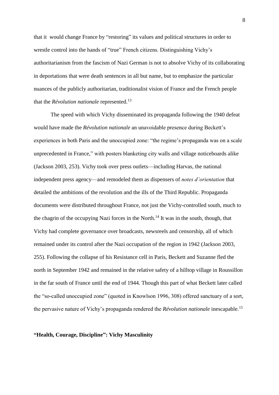that it would change France by "restoring" its values and political structures in order to wrestle control into the hands of "true" French citizens. Distinguishing Vichy's authoritarianism from the fascism of Nazi German is not to absolve Vichy of its collaborating in deportations that were death sentences in all but name, but to emphasize the particular nuances of the publicly authoritarian, traditionalist vision of France and the French people that the *Révolution nationale* represented. 13

The speed with which Vichy disseminated its propaganda following the 1940 defeat would have made the *Révolution nationale* an unavoidable presence during Beckett's experiences in both Paris and the unoccupied zone: "the regime's propaganda was on a scale unprecedented in France," with posters blanketing city walls and village noticeboards alike (Jackson 2003, 253). Vichy took over press outlets—including Harvas, the national independent press agency—and remodeled them as dispensers of *notes d'orientation* that detailed the ambitions of the revolution and the ills of the Third Republic. Propaganda documents were distributed throughout France, not just the Vichy-controlled south, much to the chagrin of the occupying Nazi forces in the North.<sup>14</sup> It was in the south, though, that Vichy had complete governance over broadcasts, newsreels and censorship, all of which remained under its control after the Nazi occupation of the region in 1942 (Jackson 2003, 255). Following the collapse of his Resistance cell in Paris, Beckett and Suzanne fled the north in September 1942 and remained in the relative safety of a hilltop village in Roussillon in the far south of France until the end of 1944. Though this part of what Beckett later called the "so-called unoccupied zone" (quoted in Knowlson 1996, 308) offered sanctuary of a sort, the pervasive nature of Vichy's propaganda rendered the *Révolution nationale* inescapable. 15

#### **"Health, Courage, Discipline": Vichy Masculinity**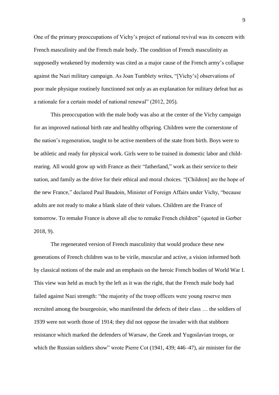One of the primary preoccupations of Vichy's project of national revival was its concern with French masculinity and the French male body. The condition of French masculinity as supposedly weakened by modernity was cited as a major cause of the French army's collapse against the Nazi military campaign. As Joan Tumblety writes, "[Vichy's] observations of poor male physique routinely functioned not only as an explanation for military defeat but as a rationale for a certain model of national renewal" (2012, 205).

This preoccupation with the male body was also at the center of the Vichy campaign for an improved national birth rate and healthy offspring. Children were the cornerstone of the nation's regeneration, taught to be active members of the state from birth. Boys were to be athletic and ready for physical work. Girls were to be trained in domestic labor and childrearing. All would grow up with France as their "fatherland," work as their service to their nation, and family as the drive for their ethical and moral choices. "[Children] are the hope of the new France," declared Paul Baudoin, Minister of Foreign Affairs under Vichy, "because adults are not ready to make a blank slate of their values. Children are the France of tomorrow. To remake France is above all else to remake French children" (quoted in Gerber 2018, 9).

The regenerated version of French masculinity that would produce these new generations of French children was to be virile, muscular and active, a vision informed both by classical notions of the male and an emphasis on the heroic French bodies of World War I. This view was held as much by the left as it was the right, that the French male body had failed against Nazi strength: "the majority of the troop officers were young reserve men recruited among the bourgeoisie, who manifested the defects of their class … the soldiers of 1939 were not worth those of 1914; they did not oppose the invader with that stubborn resistance which marked the defenders of Warsaw, the Greek and Yugoslavian troops, or which the Russian soldiers show" wrote Pierre Cot (1941, 439; 446–47), air minister for the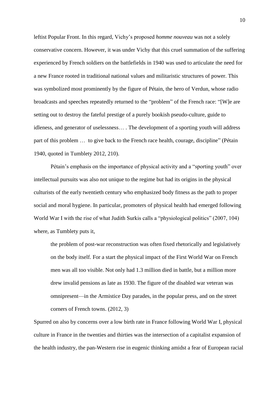leftist Popular Front. In this regard, Vichy's proposed *homme nouveau* was not a solely conservative concern. However, it was under Vichy that this cruel summation of the suffering experienced by French soldiers on the battlefields in 1940 was used to articulate the need for a new France rooted in traditional national values and militaristic structures of power. This was symbolized most prominently by the figure of Pétain, the hero of Verdun, whose radio broadcasts and speeches repeatedly returned to the "problem" of the French race: "[W]e are setting out to destroy the fateful prestige of a purely bookish pseudo-culture, guide to idleness, and generator of uselessness… . The development of a sporting youth will address part of this problem … to give back to the French race health, courage, discipline" (Pétain 1940, quoted in Tumblety 2012, 210).

Pétain's emphasis on the importance of physical activity and a "sporting youth" over intellectual pursuits was also not unique to the regime but had its origins in the physical culturists of the early twentieth century who emphasized body fitness as the path to proper social and moral hygiene. In particular, promoters of physical health had emerged following World War I with the rise of what Judith Surkis calls a "physiological politics" (2007, 104) where, as Tumblety puts it,

the problem of post-war reconstruction was often fixed rhetorically and legislatively on the body itself. For a start the physical impact of the First World War on French men was all too visible. Not only had 1.3 million died in battle, but a million more drew invalid pensions as late as 1930. The figure of the disabled war veteran was omnipresent—in the Armistice Day parades, in the popular press, and on the street corners of French towns. (2012, 3)

Spurred on also by concerns over a low birth rate in France following World War I, physical culture in France in the twenties and thirties was the intersection of a capitalist expansion of the health industry, the pan-Western rise in eugenic thinking amidst a fear of European racial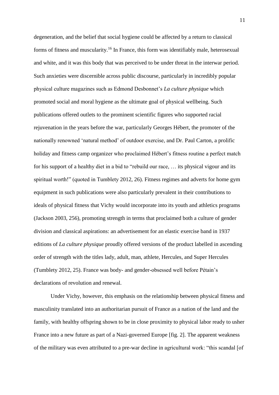degeneration, and the belief that social hygiene could be affected by a return to classical forms of fitness and muscularity.<sup>16</sup> In France, this form was identifiably male, heterosexual and white, and it was this body that was perceived to be under threat in the interwar period. Such anxieties were discernible across public discourse, particularly in incredibly popular physical culture magazines such as Edmond Desbonnet's *La culture physique* which promoted social and moral hygiene as the ultimate goal of physical wellbeing. Such publications offered outlets to the prominent scientific figures who supported racial rejuvenation in the years before the war, particularly Georges Hébert, the promoter of the nationally renowned 'natural method' of outdoor exercise, and Dr. Paul Carton, a prolific holiday and fitness camp organizer who proclaimed Hébert's fitness routine a perfect match for his support of a healthy diet in a bid to "rebuild our race, … its physical vigour and its spiritual worth!" (quoted in Tumblety 2012, 26). Fitness regimes and adverts for home gym equipment in such publications were also particularly prevalent in their contributions to ideals of physical fitness that Vichy would incorporate into its youth and athletics programs (Jackson 2003, 256), promoting strength in terms that proclaimed both a culture of gender division and classical aspirations: an advertisement for an elastic exercise band in 1937 editions of *La culture physique* proudly offered versions of the product labelled in ascending order of strength with the titles lady, adult, man, athlete, Hercules, and Super Hercules (Tumblety 2012, 25). France was body- and gender-obsessed well before Pétain's declarations of revolution and renewal.

Under Vichy, however, this emphasis on the relationship between physical fitness and masculinity translated into an authoritarian pursuit of France as a nation of the land and the family, with healthy offspring shown to be in close proximity to physical labor ready to usher France into a new future as part of a Nazi-governed Europe [fig. 2]. The apparent weakness of the military was even attributed to a pre-war decline in agricultural work: "this scandal [of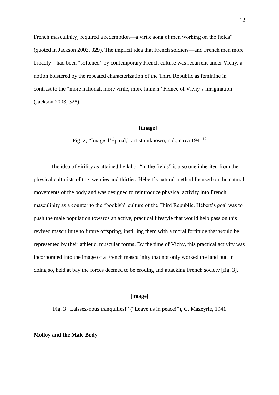French masculinity] required a redemption—a virile song of men working on the fields" (quoted in Jackson 2003, 329). The implicit idea that French soldiers—and French men more broadly—had been "softened" by contemporary French culture was recurrent under Vichy, a notion bolstered by the repeated characterization of the Third Republic as feminine in contrast to the "more national, more virile, more human" France of Vichy's imagination (Jackson 2003, 328).

#### **[image]**

Fig. 2, "Image d'Épinal," artist unknown, n.d., circa 1941<sup>17</sup>

The idea of virility as attained by labor "in the fields" is also one inherited from the physical culturists of the twenties and thirties. Hébert's natural method focused on the natural movements of the body and was designed to reintroduce physical activity into French masculinity as a counter to the "bookish" culture of the Third Republic. Hébert's goal was to push the male population towards an active, practical lifestyle that would help pass on this revived masculinity to future offspring, instilling them with a moral fortitude that would be represented by their athletic, muscular forms. By the time of Vichy, this practical activity was incorporated into the image of a French masculinity that not only worked the land but, in doing so, held at bay the forces deemed to be eroding and attacking French society [fig. 3].

#### **[image]**

Fig. 3 "Laissez-nous tranquilles!" ("Leave us in peace!"), G. Mazeyrie, 1941

#### **Molloy and the Male Body**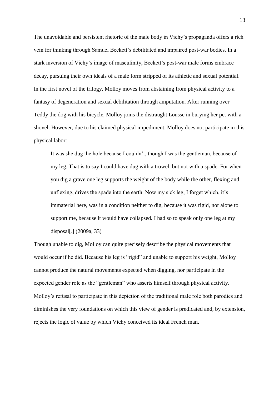The unavoidable and persistent rhetoric of the male body in Vichy's propaganda offers a rich vein for thinking through Samuel Beckett's debilitated and impaired post-war bodies. In a stark inversion of Vichy's image of masculinity, Beckett's post-war male forms embrace decay, pursuing their own ideals of a male form stripped of its athletic and sexual potential. In the first novel of the trilogy, Molloy moves from abstaining from physical activity to a fantasy of degeneration and sexual debilitation through amputation. After running over Teddy the dog with his bicycle, Molloy joins the distraught Lousse in burying her pet with a shovel. However, due to his claimed physical impediment, Molloy does not participate in this physical labor:

It was she dug the hole because I couldn't, though I was the gentleman, because of my leg. That is to say I could have dug with a trowel, but not with a spade. For when you dig a grave one leg supports the weight of the body while the other, flexing and unflexing, drives the spade into the earth. Now my sick leg, I forget which, it's immaterial here, was in a condition neither to dig, because it was rigid, nor alone to support me, because it would have collapsed. I had so to speak only one leg at my disposal[.] (2009a, 33)

Though unable to dig, Molloy can quite precisely describe the physical movements that would occur if he did. Because his leg is "rigid" and unable to support his weight, Molloy cannot produce the natural movements expected when digging, nor participate in the expected gender role as the "gentleman" who asserts himself through physical activity. Molloy's refusal to participate in this depiction of the traditional male role both parodies and diminishes the very foundations on which this view of gender is predicated and, by extension, rejects the logic of value by which Vichy conceived its ideal French man.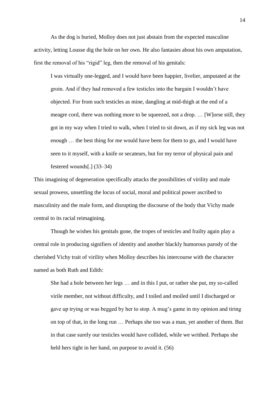As the dog is buried, Molloy does not just abstain from the expected masculine activity, letting Lousse dig the hole on her own. He also fantasies about his own amputation, first the removal of his "rigid" leg, then the removal of his genitals:

I was virtually one-legged, and I would have been happier, livelier, amputated at the groin. And if they had removed a few testicles into the bargain I wouldn't have objected. For from such testicles as mine, dangling at mid-thigh at the end of a meagre cord, there was nothing more to be squeezed, not a drop. … [W]orse still, they got in my way when I tried to walk, when I tried to sit down, as if my sick leg was not enough … the best thing for me would have been for them to go, and I would have seen to it myself, with a knife or secateurs, but for my terror of physical pain and festered wounds[.] (33–34)

This imagining of degeneration specifically attacks the possibilities of virility and male sexual prowess, unsettling the locus of social, moral and political power ascribed to masculinity and the male form, and disrupting the discourse of the body that Vichy made central to its racial reimagining.

Though he wishes his genitals gone, the tropes of testicles and frailty again play a central role in producing signifiers of identity and another blackly humorous parody of the cherished Vichy trait of virility when Molloy describes his intercourse with the character named as both Ruth and Edith:

She had a hole between her legs … and in this I put, or rather she put, my so-called virile member, not without difficulty, and I toiled and moiled until I discharged or gave up trying or was begged by her to stop. A mug's game in my opinion and tiring on top of that, in the long run … Perhaps she too was a man, yet another of them. But in that case surely our testicles would have collided, while we writhed. Perhaps she held hers tight in her hand, on purpose to avoid it. (56)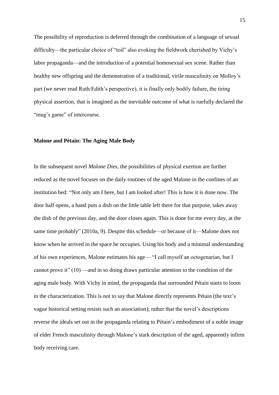The possibility of reproduction is deferred through the combination of a language of sexual difficulty—the particular choice of "toil" also evoking the fieldwork cherished by Vichy's labor propaganda—and the introduction of a potential homosexual sex scene. Rather than healthy new offspring and the demonstration of a traditional, virile masculinity on Molloy's part (we never read Ruth/Edith's perspective), it is finally only bodily failure, the tiring physical assertion, that is imagined as the inevitable outcome of what is ruefully declared the "mug's game" of intercourse.

#### **Malone and Pétain: The Aging Male Body**

In the subsequent novel *Malone Dies*, the possibilities of physical exertion are further reduced as the novel focuses on the daily routines of the aged Malone in the confines of an institution bed: "Not only am I here, but I am looked after! This is how it is done now. The door half opens, a hand puts a dish on the little table left there for that purpose, takes away the dish of the previous day, and the door closes again. This is done for me every day, at the same time probably" (2010a, 9). Despite this schedule—or because of it—Malone does not know when he arrived in the space he occupies. Using his body and a minimal understanding of his own experiences, Malone estimates his age— "I call myself an octogenarian, but I cannot prove it" (10) —and in so doing draws particular attention to the condition of the aging male body. With Vichy in mind, the propaganda that surrounded Pétain starts to loom in the characterization. This is not to say that Malone directly represents Pétain (the text's vague historical setting resists such an association); rather that the novel's descriptions reverse the ideals set out in the propaganda relating to Pétain's embodiment of a noble image of elder French masculinity through Malone's stark description of the aged, apparently infirm body receiving care.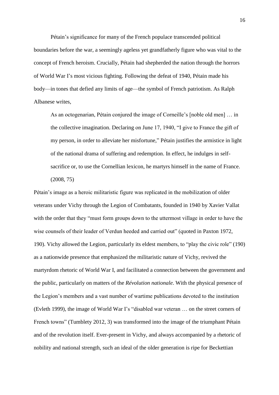Pétain's significance for many of the French populace transcended political boundaries before the war, a seemingly ageless yet grandfatherly figure who was vital to the concept of French heroism. Crucially, Pétain had shepherded the nation through the horrors of World War I's most vicious fighting. Following the defeat of 1940, Pétain made his body—in tones that defied any limits of age—the symbol of French patriotism. As Ralph Albanese writes,

As an octogenarian, Pétain conjured the image of Corneille's [noble old men] … in the collective imagination. Declaring on June 17, 1940, "I give to France the gift of my person, in order to alleviate her misfortune," Pétain justifies the armistice in light of the national drama of suffering and redemption. In effect, he indulges in selfsacrifice or, to use the Cornellian lexicon, he martyrs himself in the name of France. (2008, 75)

Pétain's image as a heroic militaristic figure was replicated in the mobilization of older veterans under Vichy through the Legion of Combatants, founded in 1940 by Xavier Vallat with the order that they "must form groups down to the uttermost village in order to have the wise counsels of their leader of Verdun heeded and carried out" (quoted in Paxton 1972, 190). Vichy allowed the Legion, particularly its eldest members, to "play the civic role" (190) as a nationwide presence that emphasized the militaristic nature of Vichy, revived the martyrdom rhetoric of World War I, and facilitated a connection between the government and the public, particularly on matters of the *Révolution nationale*. With the physical presence of the Legion's members and a vast number of wartime publications devoted to the institution (Evleth 1999), the image of World War I's "disabled war veteran … on the street corners of French towns" (Tumblety 2012, 3) was transformed into the image of the triumphant Pétain and of the revolution itself. Ever-present in Vichy, and always accompanied by a rhetoric of nobility and national strength, such an ideal of the older generation is ripe for Beckettian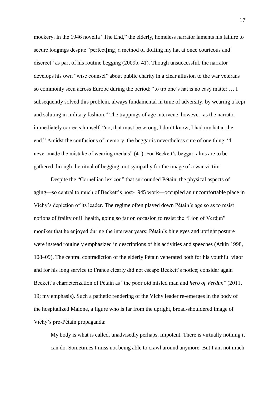mockery. In the 1946 novella "The End," the elderly, homeless narrator laments his failure to secure lodgings despite "perfect[ing] a method of doffing my hat at once courteous and discreet" as part of his routine begging (2009b, 41). Though unsuccessful, the narrator develops his own "wise counsel" about public charity in a clear allusion to the war veterans so commonly seen across Europe during the period: "to tip one's hat is no easy matter … I subsequently solved this problem, always fundamental in time of adversity, by wearing a kepi and saluting in military fashion." The trappings of age intervene, however, as the narrator immediately corrects himself: "no, that must be wrong, I don't know, I had my hat at the end." Amidst the confusions of memory, the beggar is nevertheless sure of one thing: "I never made the mistake of wearing medals" (41). For Beckett's beggar, alms are to be gathered through the ritual of begging, not sympathy for the image of a war victim.

Despite the "Cornellian lexicon" that surrounded Pétain, the physical aspects of aging—so central to much of Beckett's post-1945 work—occupied an uncomfortable place in Vichy's depiction of its leader. The regime often played down Pétain's age so as to resist notions of frailty or ill health, going so far on occasion to resist the "Lion of Verdun" moniker that he enjoyed during the interwar years; Pétain's blue eyes and upright posture were instead routinely emphasized in descriptions of his activities and speeches (Atkin 1998, 108–09). The central contradiction of the elderly Pétain venerated both for his youthful vigor and for his long service to France clearly did not escape Beckett's notice; consider again Beckett's characterization of Pétain as "the poor *old* misled man and *hero of Verdun*" (2011, 19; my emphasis). Such a pathetic rendering of the Vichy leader re-emerges in the body of the hospitalized Malone, a figure who is far from the upright, broad-shouldered image of Vichy's pro-Pétain propaganda:

My body is what is called, unadvisedly perhaps, impotent. There is virtually nothing it can do. Sometimes I miss not being able to crawl around anymore. But I am not much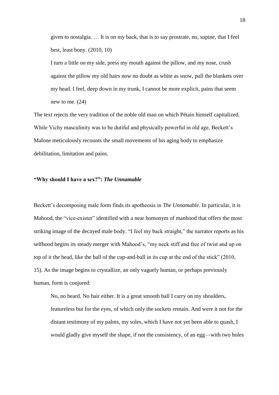given to nostalgia. … It is on my back, that is to say prostrate, no, supine, that I feel best, least bony. (2010, 10)

I turn a little on my side, press my mouth against the pillow, and my nose, crush against the pillow my old hairs now no doubt as white as snow, pull the blankets over my head. I feel, deep down in my trunk, I cannot be more explicit, pains that seem new to me. (24)

The text rejects the very tradition of the noble old man on which Pétain himself capitalized. While Vichy masculinity was to be dutiful and physically powerful in old age, Beckett's Malone meticulously recounts the small movements of his aging body to emphasize debilitation, limitation and pains.

#### **"Why should I have a sex?":** *The Unnamable*

Beckett's decomposing male form finds its apotheosis in *The Unnamable*. In particular, it is Mahood, the "vice-exister" identified with a near homonym of manhood that offers the most striking image of the decayed male body. "I feel my back straight," the narrator reports as his selfhood begins its steady merger with Mahood's, "my neck stiff and free of twist and up on top of it the head, like the ball of the cup-and-ball in its cup at the end of the stick" (2010, 15). As the image begins to crystallize, an only vaguely human, or perhaps previously human, form is conjured:

No, no beard. No hair either. It is a great smooth ball I carry on my shoulders, featureless but for the eyes, of which only the sockets remain. And were it not for the distant testimony of my palms, my soles, which I have not yet been able to quash, I would gladly give myself the shape, if not the consistency, of an egg—with two holes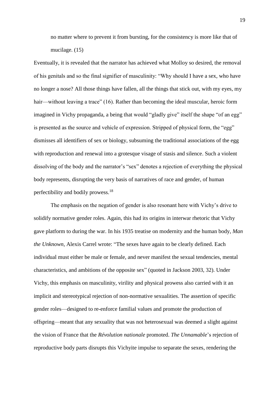no matter where to prevent it from bursting, for the consistency is more like that of mucilage. (15)

Eventually, it is revealed that the narrator has achieved what Molloy so desired, the removal of his genitals and so the final signifier of masculinity: "Why should I have a sex, who have no longer a nose? All those things have fallen, all the things that stick out, with my eyes, my hair—without leaving a trace" (16). Rather than becoming the ideal muscular, heroic form imagined in Vichy propaganda, a being that would "gladly give" itself the shape "of an egg" is presented as the source and vehicle of expression. Stripped of physical form, the "egg" dismisses all identifiers of sex or biology, subsuming the traditional associations of the egg with reproduction and renewal into a grotesque visage of stasis and silence. Such a violent dissolving of the body and the narrator's "sex" denotes a rejection of everything the physical body represents, disrupting the very basis of narratives of race and gender, of human perfectibility and bodily prowess.<sup>18</sup>

The emphasis on the negation of gender is also resonant here with Vichy's drive to solidify normative gender roles. Again, this had its origins in interwar rhetoric that Vichy gave platform to during the war. In his 1935 treatise on modernity and the human body, *Man the Unknown*, Alexis Carrel wrote: "The sexes have again to be clearly defined. Each individual must either be male or female, and never manifest the sexual tendencies, mental characteristics, and ambitions of the opposite sex" (quoted in Jackson 2003, 32). Under Vichy, this emphasis on masculinity, virility and physical prowess also carried with it an implicit and stereotypical rejection of non-normative sexualities. The assertion of specific gender roles—designed to re-enforce familial values and promote the production of offspring—meant that any sexuality that was not heterosexual was deemed a slight against the vision of France that the *Révolution nationale* promoted. *The Unnamable*'s rejection of reproductive body parts disrupts this Vichyite impulse to separate the sexes, rendering the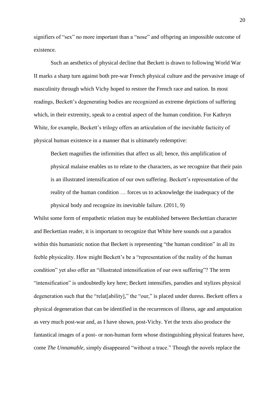signifiers of "sex" no more important than a "nose" and offspring an impossible outcome of existence.

Such an aesthetics of physical decline that Beckett is drawn to following World War II marks a sharp turn against both pre-war French physical culture and the pervasive image of masculinity through which Vichy hoped to restore the French race and nation. In most readings, Beckett's degenerating bodies are recognized as extreme depictions of suffering which, in their extremity, speak to a central aspect of the human condition. For Kathryn White, for example, Beckett's trilogy offers an articulation of the inevitable facticity of physical human existence in a manner that is ultimately redemptive:

Beckett magnifies the infirmities that affect us all; hence, this amplification of physical malaise enables us to relate to the characters, as we recognize that their pain is an illustrated intensification of our own suffering. Beckett's representation of the reality of the human condition … forces us to acknowledge the inadequacy of the physical body and recognize its inevitable failure. (2011, 9)

Whilst some form of empathetic relation may be established between Beckettian character and Beckettian reader, it is important to recognize that White here sounds out a paradox within this humanistic notion that Beckett is representing "the human condition" in all its feeble physicality. How might Beckett's be a "representation of the reality of the human condition" yet also offer an "illustrated intensification of our own suffering"? The term "intensification" is undoubtedly key here; Beckett intensifies, parodies and stylizes physical degeneration such that the "relat[ability]," the "our," is placed under duress. Beckett offers a physical degeneration that can be identified in the recurrences of illness, age and amputation as very much post-war and, as I have shown, post-Vichy. Yet the texts also produce the fantastical images of a post- or non-human form whose distinguishing physical features have, come *The Unnamable*, simply disappeared "without a trace." Though the novels replace the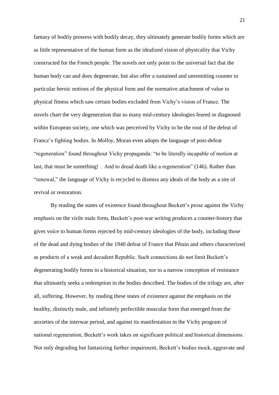fantasy of bodily prowess with bodily decay, they ultimately generate bodily forms which are as little representative of the human form as the idealized vision of physicality that Vichy constructed for the French people. The novels not only point to the universal fact that the human body can and does degenerate, but also offer a sustained and unremitting counter to particular heroic notions of the physical form and the normative attachment of value to physical fitness which saw certain bodies excluded from Vichy's vision of France. The novels chart the very degeneration that so many mid-century ideologies feared or diagnosed within European society, one which was perceived by Vichy to be the root of the defeat of France's fighting bodies. In *Molloy*, Moran even adopts the language of post-defeat "regeneration" found throughout Vichy propaganda: "to be literally incapable of motion at last, that must be something! … And to dread death like a regeneration" (146). Rather than "renewal," the language of Vichy is recycled to dismiss any ideals of the body as a site of revival or restoration.

By reading the states of existence found throughout Beckett's prose against the Vichy emphasis on the virile male form, Beckett's post-war writing produces a counter-history that gives voice to human forms rejected by mid-century ideologies of the body, including those of the dead and dying bodies of the 1940 defeat of France that Pétain and others characterized as products of a weak and decadent Republic. Such connections do not limit Beckett's degenerating bodily forms to a historical situation, nor to a narrow conception of resistance that ultimately seeks a redemption in the bodies described. The bodies of the trilogy are, after all, suffering. However, by reading these states of existence against the emphasis on the healthy, distinctly male, and infinitely perfectible muscular form that emerged from the anxieties of the interwar period, and against its manifestation in the Vichy program of national regeneration, Beckett's work takes on significant political and historical dimensions. Not only degrading but fantasizing further impairment, Beckett's bodies mock, aggravate and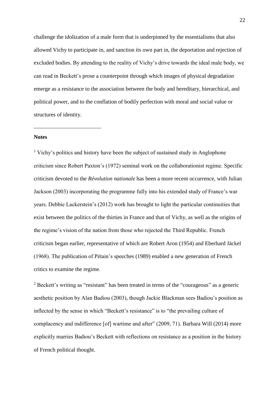challenge the idolization of a male form that is underpinned by the essentialisms that also allowed Vichy to participate in, and sanction its own part in, the deportation and rejection of excluded bodies. By attending to the reality of Vichy's drive towards the ideal male body, we can read in Beckett's prose a counterpoint through which images of physical degradation emerge as a resistance to the association between the body and hereditary, hierarchical, and political power, and to the conflation of bodily perfection with moral and social value or structures of identity.

#### **Notes**

 $\overline{a}$ 

<sup>1</sup> Vichy's politics and history have been the subject of sustained study in Anglophone criticism since Robert Paxton's (1972) seminal work on the collaborationist regime. Specific criticism devoted to the *Révolution nationale* has been a more recent occurrence, with Julian Jackson (2003) incorporating the programme fully into his extended study of France's war years. Debbie Lackerstein's (2012) work has brought to light the particular continuities that exist between the politics of the thirties in France and that of Vichy, as well as the origins of the regime's vision of the nation from those who rejected the Third Republic. French criticism began earlier, representative of which are Robert Aron (1954) and Eberhard Jäckel (1968). The publication of Pétain's speeches (1989) enabled a new generation of French critics to examine the regime.

 $2$  Beckett's writing as "resistant" has been treated in terms of the "courageous" as a generic aesthetic position by Alan Badiou (2003), though Jackie Blackman sees Badiou's position as inflected by the sense in which "Beckett's resistance" is to "the prevailing culture of complacency and indifference [of] wartime and after" (2009, 71). Barbara Will (2014) more explicitly marries Badiou's Beckett with reflections on resistance as a position in the history of French political thought.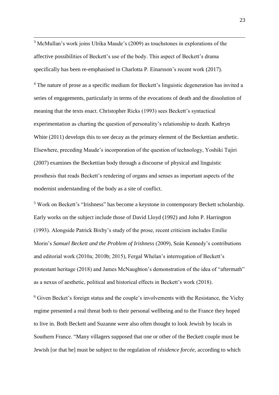<sup>3</sup> McMullan's work joins Ulrika Maude's (2009) as touchstones in explorations of the affective possibilities of Beckett's use of the body. This aspect of Beckett's drama specifically has been re-emphasised in Charlotta P. Einarsson's recent work (2017).

 $\overline{a}$ 

<sup>4</sup> The nature of prose as a specific medium for Beckett's linguistic degeneration has invited a series of engagements, particularly in terms of the evocations of death and the dissolution of meaning that the texts enact. Christopher Ricks (1993) sees Beckett's syntactical experimentation as charting the question of personality's relationship to death. Kathryn White (2011) develops this to see decay as the primary element of the Beckettian aesthetic. Elsewhere, preceding Maude's incorporation of the question of technology, Yoshiki Tajiri (2007) examines the Beckettian body through a discourse of physical and linguistic prosthesis that reads Beckett's rendering of organs and senses as important aspects of the modernist understanding of the body as a site of conflict.

<sup>5</sup> Work on Beckett's "Irishness" has become a keystone in contemporary Beckett scholarship. Early works on the subject include those of David Lloyd (1992) and John P. Harrington (1993). Alongside Patrick Bixby's study of the prose, recent criticism includes Emilie Morin's *Samuel Beckett and the Problem of Irishness* (2009), Seán Kennedy's contributions and editorial work (2010a; 2010b; 2015), Fergal Whelan's interrogation of Beckett's protestant heritage (2018) and James McNaughton's demonstration of the idea of "aftermath" as a nexus of aesthetic, political and historical effects in Beckett's work (2018).

<sup>6</sup> Given Becket's foreign status and the couple's involvements with the Resistance, the Vichy regime presented a real threat both to their personal wellbeing and to the France they hoped to live in. Both Beckett and Suzanne were also often thought to look Jewish by locals in Southern France. "Many villagers supposed that one or other of the Beckett couple must be Jewish [or that he] must be subject to the regulation of *résidence forcée*, according to which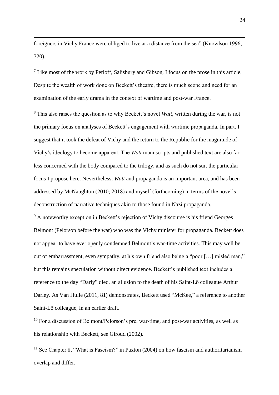foreigners in Vichy France were obliged to live at a distance from the sea" (Knowlson 1996, 320).

 $\overline{a}$ 

 $<sup>7</sup>$  Like most of the work by Perloff, Salisbury and Gibson, I focus on the prose in this article.</sup> Despite the wealth of work done on Beckett's theatre, there is much scope and need for an examination of the early drama in the context of wartime and post-war France.

<sup>8</sup> This also raises the question as to why Beckett's novel *Watt*, written during the war, is not the primary focus on analyses of Beckett's engagement with wartime propaganda. In part, I suggest that it took the defeat of Vichy and the return to the Republic for the magnitude of Vichy's ideology to become apparent. The *Watt* manuscripts and published text are also far less concerned with the body compared to the trilogy, and as such do not suit the particular focus I propose here. Nevertheless, *Watt* and propaganda is an important area, and has been addressed by McNaughton (2010; 2018) and myself (forthcoming) in terms of the novel's deconstruction of narrative techniques akin to those found in Nazi propaganda.

<sup>9</sup> A noteworthy exception in Beckett's rejection of Vichy discourse is his friend Georges Belmont (Pelorson before the war) who was the Vichy minister for propaganda. Beckett does not appear to have ever openly condemned Belmont's war-time activities. This may well be out of embarrassment, even sympathy, at his own friend also being a "poor […] misled man," but this remains speculation without direct evidence. Beckett's published text includes a reference to the day "Darly" died, an allusion to the death of his Saint-Lô colleague Arthur Darley. As Van Hulle (2011, 81) demonstrates, Beckett used "McKee," a reference to another Saint-Lô colleague, in an earlier draft.

 $10$  For a discussion of Belmont/Pelorson's pre, war-time, and post-war activities, as well as his relationship with Beckett, see Giroud (2002).

<sup>11</sup> See Chapter 8, "What is Fascism?" in Paxton  $(2004)$  on how fascism and authoritarianism overlap and differ.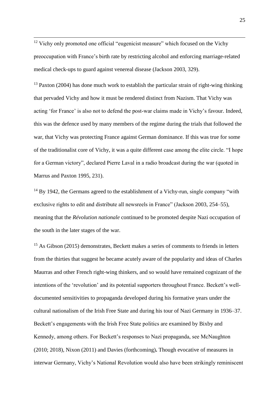<sup>12</sup> Vichy only promoted one official "eugenicist measure" which focused on the Vichy preoccupation with France's birth rate by restricting alcohol and enforcing marriage-related medical check-ups to guard against venereal disease (Jackson 2003, 329).

 $\overline{a}$ 

 $13$  Paxton (2004) has done much work to establish the particular strain of right-wing thinking that pervaded Vichy and how it must be rendered distinct from Nazism. That Vichy was acting 'for France' is also not to defend the post-war claims made in Vichy's favour. Indeed, this was the defence used by many members of the regime during the trials that followed the war, that Vichy was protecting France against German dominance. If this was true for some of the traditionalist core of Vichy, it was a quite different case among the elite circle. "I hope for a German victory", declared Pierre Laval in a radio broadcast during the war (quoted in Marrus and Paxton 1995, 231).

 $14$  By 1942, the Germans agreed to the establishment of a Vichy-run, single company "with exclusive rights to edit and distribute all newsreels in France" (Jackson 2003, 254–55), meaning that the *Révolution nationale* continued to be promoted despite Nazi occupation of the south in the later stages of the war.

<sup>15</sup> As Gibson (2015) demonstrates, Beckett makes a series of comments to friends in letters from the thirties that suggest he became acutely aware of the popularity and ideas of Charles Maurras and other French right-wing thinkers, and so would have remained cognizant of the intentions of the 'revolution' and its potential supporters throughout France. Beckett's welldocumented sensitivities to propaganda developed during his formative years under the cultural nationalism of the Irish Free State and during his tour of Nazi Germany in 1936–37. Beckett's engagements with the Irish Free State politics are examined by Bixby and Kennedy, among others. For Beckett's responses to Nazi propaganda, see McNaughton (2010; 2018), Nixon (2011) and Davies (forthcoming)**.** Though evocative of measures in interwar Germany, Vichy's National Revolution would also have been strikingly reminiscent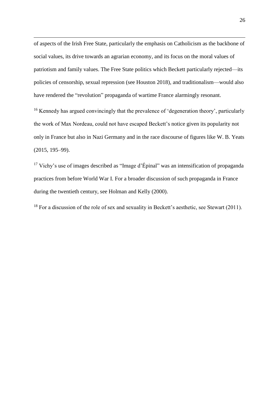of aspects of the Irish Free State, particularly the emphasis on Catholicism as the backbone of social values, its drive towards an agrarian economy, and its focus on the moral values of patriotism and family values. The Free State politics which Beckett particularly rejected—its policies of censorship, sexual repression (see Houston 2018), and traditionalism—would also have rendered the "revolution" propaganda of wartime France alarmingly resonant.

 $\overline{a}$ 

<sup>16</sup> Kennedy has argued convincingly that the prevalence of 'degeneration theory', particularly the work of Max Nordeau, could not have escaped Beckett's notice given its popularity not only in France but also in Nazi Germany and in the race discourse of figures like W. B. Yeats (2015, 195–99).

<sup>17</sup> Vichy's use of images described as "Image d'Épinal" was an intensification of propaganda practices from before World War I. For a broader discussion of such propaganda in France during the twentieth century, see Holman and Kelly (2000).

 $18$  For a discussion of the role of sex and sexuality in Beckett's aesthetic, see Stewart (2011).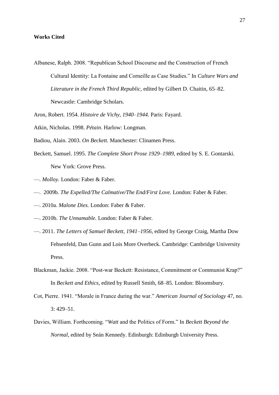#### **Works Cited**

Albanese, Ralph. 2008. "Republican School Discourse and the Construction of French Cultural Identity: La Fontaine and Corneille as Case Studies." In *Culture Wars and Literature in the French Third Republic*, edited by Gilbert D. Chaitin, 65–82. Newcastle: Cambridge Scholars.

Aron, Robert. 1954. *Histoire de Vichy, 1940*–*1944.* Paris: Fayard.

Atkin, Nicholas. 1998. *Pétain.* Harlow: Longman.

Badiou, Alain. 2003. *On Beckett.* Manchester: Clinamen Press.

- Beckett, Samuel. 1995. *The Complete Short Prose 1929–1989*, edited by S. E. Gontarski. New York: Grove Press.
- —. *Molloy.* London: Faber & Faber.
- —. 2009b. *The Expelled/The Calmative/The End/First Love.* London: Faber & Faber.
- —. 2010a. *Malone Dies.* London: Faber & Faber.
- —. 2010b. *The Unnamable.* London: Faber & Faber.
- —. 2011. *The Letters of Samuel Beckett, 1941*–*1956*, edited by George Craig, Martha Dow Fehsenfeld, Dan Gunn and Lois More Overbeck. Cambridge: Cambridge University Press.
- Blackman, Jackie. 2008. "Post-war Beckett: Resistance, Commitment or Communist Krap?" In *Beckett and Ethics*, edited by Russell Smith, 68–85. London: Bloomsbury.
- Cot, Pierre. 1941. "Morale in France during the war." *American Journal of Sociology* 47, no. 3: 429–51.
- Davies, William. Forthcoming. "*Watt* and the Politics of Form." In *Beckett Beyond the Normal*, edited by Seán Kennedy. Edinburgh: Edinburgh University Press.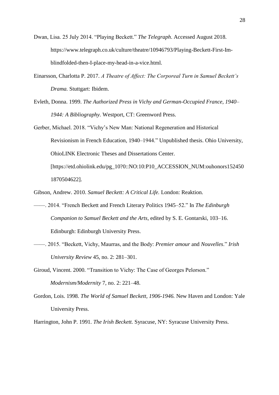- Dwan, Lisa. 25 July 2014. "Playing Beckett." *The Telegraph*. Accessed August 2018. https://www.telegraph.co.uk/culture/theatre/10946793/Playing-Beckett-First-Imblindfolded-then-I-place-my-head-in-a-vice.html.
- Einarsson, Charlotta P. 2017. *A Theatre of Affect: The Corporeal Turn in Samuel Beckett's Drama.* Stuttgart: Ibidem.
- Evleth, Donna. 1999. *The Authorized Press in Vichy and German-Occupied France, 1940 1944: A Bibliography.* Westport, CT: Greenword Press.
- Gerber, Michael. 2018. "Vichy's New Man: National Regeneration and Historical Revisionism in French Education, 1940–1944." Unpublished thesis. Ohio University, OhioLINK Electronic Theses and Dissertations Center. [https://etd.ohiolink.edu/pg\_10?0::NO:10:P10\_ACCESSION\_NUM:ouhonors152450 1870504622].
- Gibson, Andrew. 2010. *Samuel Beckett: A Critical Life.* London: Reaktion.
- ——. 2014. "French Beckett and French Literary Politics 1945–52." In *The Edinburgh Companion to Samuel Beckett and the Arts*, edited by S. E. Gontarski, 103–16. Edinburgh: Edinburgh University Press.
- ——. 2015. "Beckett, Vichy, Maurras, and the Body: *Premier amour* and *Nouvelles*." *Irish University Review* 45, no. 2: 281–301.
- Giroud, Vincent. 2000. "Transition to Vichy: The Case of Georges Pelorson." *Modernism/Modernity* 7, no. 2: 221–48.
- Gordon, Lois. 1998. *The World of Samuel Beckett, 1906-1946.* New Haven and London: Yale University Press.

Harrington, John P. 1991. *The Irish Beckett.* Syracuse, NY: Syracuse University Press.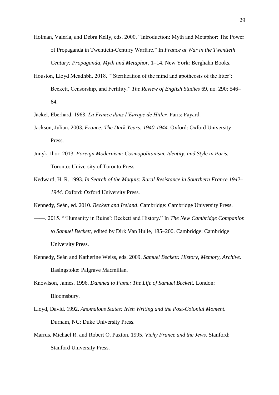Holman, Valeria, and Debra Kelly, eds. 2000. "Introduction: Myth and Metaphor: The Power of Propaganda in Twentieth-Century Warfare." In *France at War in the Twentieth Century: Propaganda, Myth and Metaphor*, 1–14. New York: Berghahn Books.

Houston, Lloyd Meadhbh. 2018. "'Sterilization of the mind and apotheosis of the litter': Beckett, Censorship, and Fertility." *The Review of English Studies* 69, no. 290: 546– 64.

Jäckel, Eberhard. 1968. *La France dans l'Europe de Hitler.* Paris: Fayard.

- Jackson, Julian. 2003. *France: The Dark Years: 1940-1944.* Oxford: Oxford University Press.
- Junyk, Ihor. 2013. *Foreign Modernism: Cosmopolitanism, Identity, and Style in Paris.* Toronto: University of Toronto Press.
- Kedward, H. R. 1993. *In Search of the Maquis: Rural Resistance in Sourthern France 1942– 1944*. Oxford: Oxford University Press.

Kennedy, Seán, ed. 2010. *Beckett and Ireland*. Cambridge: Cambridge University Press.

- ——. 2015. "'Humanity in Ruins': Beckett and History." In *The New Cambridge Companion to Samuel Beckett*, edited by Dirk Van Hulle, 185–200. Cambridge: Cambridge University Press.
- Kennedy, Seán and Katherine Weiss, eds. 2009. *Samuel Beckett: History, Memory, Archive.* Basingstoke: Palgrave Macmillan.
- Knowlson, James. 1996. *Damned to Fame: The Life of Samuel Beckett.* London: Bloomsbury.
- Lloyd, David. 1992. *Anomalous States: Irish Writing and the Post-Colonial Moment.* Durham, NC: Duke University Press.
- Marrus, Michael R. and Robert O. Paxton. 1995. *Vichy France and the Jews.* Stanford: Stanford University Press.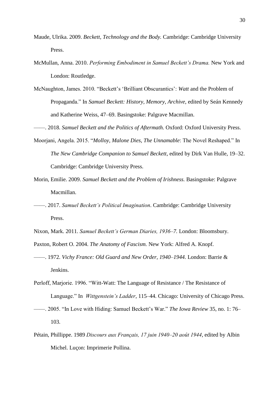- Maude, Ulrika. 2009. *Beckett, Technology and the Body.* Cambridge: Cambridge University Press.
- McMullan, Anna. 2010. *Performing Embodiment in Samuel Beckett's Drama.* New York and London: Routledge.
- McNaughton, James. 2010. "Beckett's 'Brilliant Obscurantics': *Watt* and the Problem of Propaganda." In *Samuel Beckett: History, Memory, Archive*, edited by Seán Kennedy and Katherine Weiss, 47–69. Basingstoke: Palgrave Macmillan.

——. 2018. *Samuel Beckett and the Politics of Aftermath.* Oxford: Oxford University Press.

- Moorjani, Angela. 2015. "*Molloy*, *Malone Dies*, *The Unnamable*: The Novel Reshaped." In *The New Cambridge Companion to Samuel Beckett*, edited by Dirk Van Hulle, 19–32. Cambridge: Cambridge University Press.
- Morin, Emilie. 2009. *Samuel Beckett and the Problem of Irishness.* Basingstoke: Palgrave Macmillan.
- ——. 2017. *Samuel Beckett's Political Imagination*. Cambridge: Cambridge University Press.
- Nixon, Mark. 2011. *Samuel Beckett's German Diaries, 1936*–*7.* London: Bloomsbury.
- Paxton, Robert O. 2004. *The Anatomy of Fascism.* New York: Alfred A. Knopf.
- ——. 1972. *Vichy France: Old Guard and New Order, 1940*–*1944.* London: Barrie & Jenkins.
- Perloff, Marjorie. 1996. "Witt-Watt: The Language of Resistance / The Resistance of Language." In *Wittgenstein's Ladder*, 115–44. Chicago: University of Chicago Press.
- ——. 2005. "In Love with Hiding: Samuel Beckett's War." *The Iowa Review* 35, no. 1: 76– 103.
- Pétain, Phillippe. 1989 *Discours aux Français, 17 juin 1940*–*20 août 1944*, edited by Albin Michel. Luçon: Imprimerie Pollina.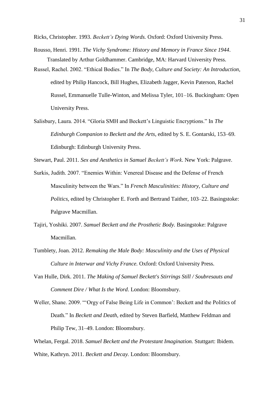Ricks, Christopher. 1993. *Beckett's Dying Words.* Oxford: Oxford University Press.

- Rousso, Henri. 1991. *The Vichy Syndrome: History and Memory in France Since 1944*. Translated by Arthur Goldhammer. Cambridge, MA: Harvard University Press.
- Russel, Rachel. 2002. "Ethical Bodies." In *The Body, Culture and Society: An Introduction*, edited by Philip Hancock, Bill Hughes, Elizabeth Jagger, Kevin Paterson, Rachel Russel, Emmanuelle Tulle-Winton, and Melissa Tyler, 101–16. Buckingham: Open University Press.
- Salisbury, Laura. 2014. "Gloria SMH and Beckett's Linguistic Encryptions." In *The Edinburgh Companion to Beckett and the Arts*, edited by S. E. Gontarski, 153–69. Edinburgh: Edinburgh University Press.

Stewart, Paul. 2011. *Sex and Aesthetics in Samuel Beckett's Work*. New York: Palgrave.

- Surkis, Judith. 2007. "Enemies Within: Venereal Disease and the Defense of French Masculinity between the Wars." In *French Masculinities: History, Culture and Politics*, edited by Christopher E. Forth and Bertrand Taither, 103–22. Basingstoke: Palgrave Macmillan.
- Tajiri, Yoshiki. 2007. *Samuel Beckett and the Prosthetic Body.* Basingstoke: Palgrave Macmillan.
- Tumblety, Joan. 2012. *Remaking the Male Body: Masculinity and the Uses of Physical Culture in Interwar and Vichy France.* Oxford: Oxford University Press.
- Van Hulle, Dirk. 2011. *The Making of Samuel Beckett's Stirrings Still / Soubresauts and Comment Dire / What Is the Word*. London: Bloomsbury.
- Weller, Shane. 2009. "'Orgy of False Being Life in Common': Beckett and the Politics of Death." In *Beckett and Death*, edited by Steven Barfield, Matthew Feldman and Philip Tew, 31–49. London: Bloomsbury.

Whelan, Fergal. 2018. *Samuel Beckett and the Protestant Imagination.* Stuttgart: Ibidem. White, Kathryn. 2011. *Beckett and Decay.* London: Bloomsbury.